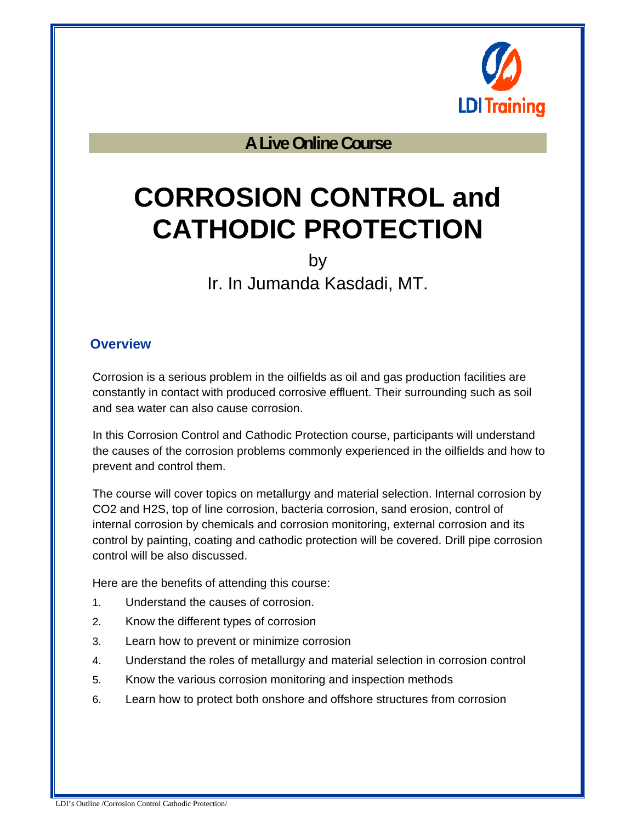

**A Live Online Course** 

# **CORROSION CONTROL and CATHODIC PROTECTION**

by

Ir. In Jumanda Kasdadi, MT.

#### **Overview**

Corrosion is a serious problem in the oilfields as oil and gas production facilities are constantly in contact with produced corrosive effluent. Their surrounding such as soil and sea water can also cause corrosion.

In this Corrosion Control and Cathodic Protection course, participants will understand the causes of the corrosion problems commonly experienced in the oilfields and how to prevent and control them.

The course will cover topics on metallurgy and material selection. Internal corrosion by CO2 and H2S, top of line corrosion, bacteria corrosion, sand erosion, control of internal corrosion by chemicals and corrosion monitoring, external corrosion and its control by painting, coating and cathodic protection will be covered. Drill pipe corrosion control will be also discussed.

Here are the benefits of attending this course:

- 1. Understand the causes of corrosion.
- 2. Know the different types of corrosion
- 3. Learn how to prevent or minimize corrosion
- 4. Understand the roles of metallurgy and material selection in corrosion control
- 5. Know the various corrosion monitoring and inspection methods
- 6. Learn how to protect both onshore and offshore structures from corrosion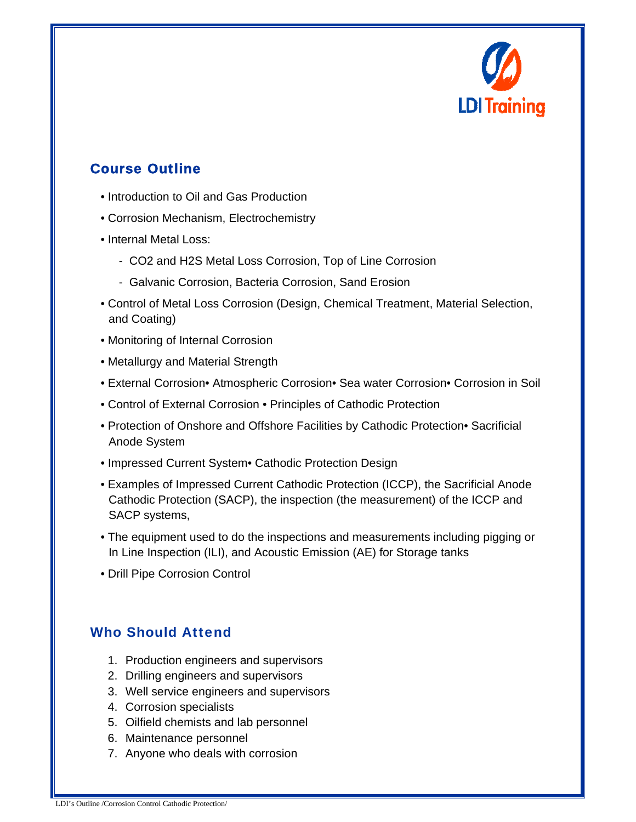

## Course Outline

- Introduction to Oil and Gas Production
- Corrosion Mechanism, Electrochemistry
- Internal Metal Loss:
	- CO2 and H2S Metal Loss Corrosion, Top of Line Corrosion
	- Galvanic Corrosion, Bacteria Corrosion, Sand Erosion
- Control of Metal Loss Corrosion (Design, Chemical Treatment, Material Selection, and Coating)
- Monitoring of Internal Corrosion
- Metallurgy and Material Strength
- External Corrosion• Atmospheric Corrosion• Sea water Corrosion• Corrosion in Soil
- Control of External Corrosion Principles of Cathodic Protection
- Protection of Onshore and Offshore Facilities by Cathodic Protection• Sacrificial Anode System
- Impressed Current System• Cathodic Protection Design
- Examples of Impressed Current Cathodic Protection (ICCP), the Sacrificial Anode Cathodic Protection (SACP), the inspection (the measurement) of the ICCP and SACP systems,
- The equipment used to do the inspections and measurements including pigging or In Line Inspection (ILI), and Acoustic Emission (AE) for Storage tanks
- Drill Pipe Corrosion Control

#### Who Should Attend

- 1. Production engineers and supervisors
- 2. Drilling engineers and supervisors
- 3. Well service engineers and supervisors
- 4. Corrosion specialists
- 5. Oilfield chemists and lab personnel
- 6. Maintenance personnel
- 7. Anyone who deals with corrosion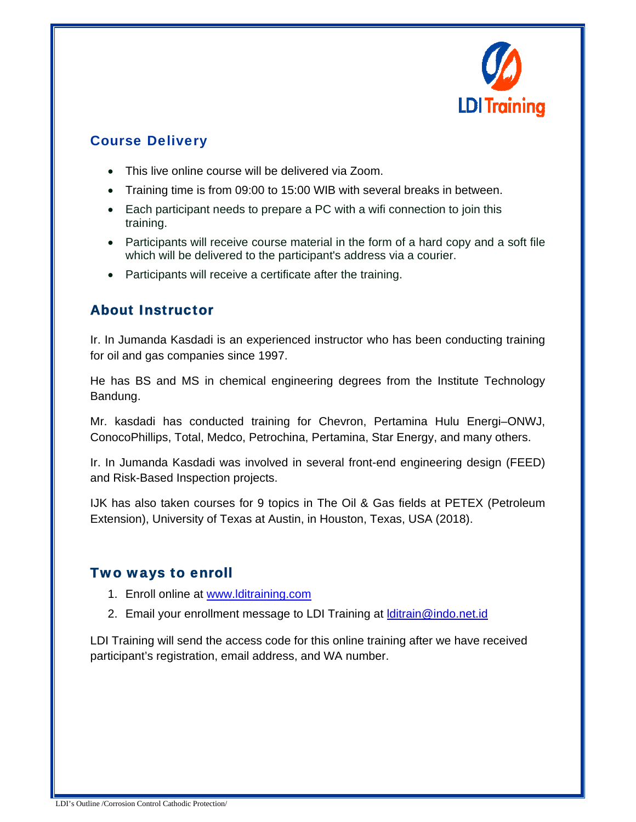

### Course Delivery

- This live online course will be delivered via Zoom.
- Training time is from 09:00 to 15:00 WIB with several breaks in between.
- Each participant needs to prepare a PC with a wifi connection to join this training.
- Participants will receive course material in the form of a hard copy and a soft file which will be delivered to the participant's address via a courier.
- Participants will receive a certificate after the training.

#### About Instructor

Ir. In Jumanda Kasdadi is an experienced instructor who has been conducting training for oil and gas companies since 1997.

He has BS and MS in chemical engineering degrees from the Institute Technology Bandung.

Mr. kasdadi has conducted training for Chevron, Pertamina Hulu Energi–ONWJ, ConocoPhillips, Total, Medco, Petrochina, Pertamina, Star Energy, and many others.

Ir. In Jumanda Kasdadi was involved in several front-end engineering design (FEED) and Risk-Based Inspection projects.

IJK has also taken courses for 9 topics in The Oil & Gas fields at PETEX (Petroleum Extension), University of Texas at Austin, in Houston, Texas, USA (2018).

#### Two ways to enroll

- 1. Enroll online at www.lditraining.com
- 2. Email your enrollment message to LDI Training at *ditrain@indo.net.id*

LDI Training will send the access code for this online training after we have received participant's registration, email address, and WA number.